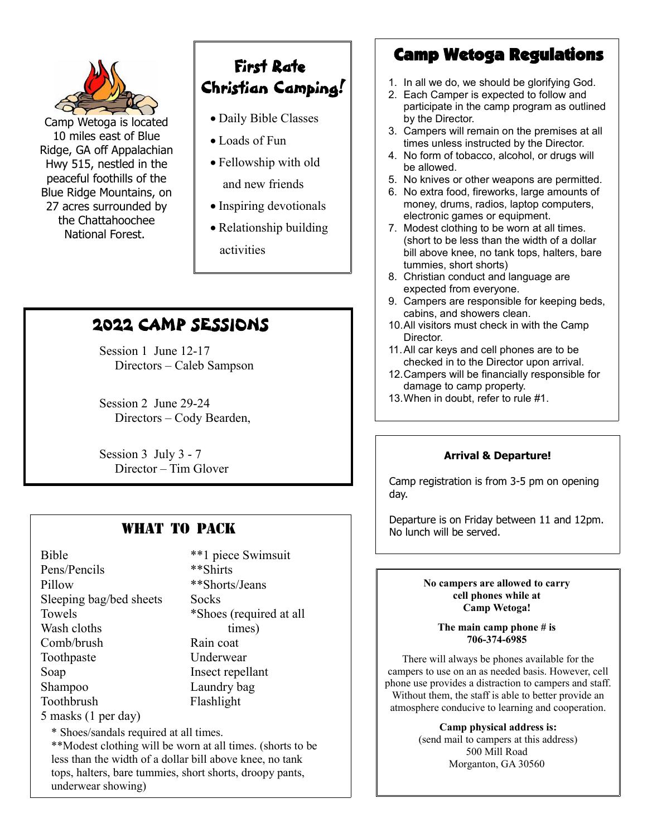

Camp Wetoga is located 10 miles east of Blue Ridge, GA off Appalachian Hwy 515, nestled in the peaceful foothills of the Blue Ridge Mountains, on 27 acres surrounded by the Chattahoochee National Forest.

# First Rate Christian Camping!

- Daily Bible Classes
- Loads of Fun
- Fellowship with old and new friends
- Inspiring devotionals
- Relationship building activities

# 2022 CAMP SESSIONS

Session 1 June 12-17 Directors – Caleb Sampson

Session 2 June 29-24 Directors – Cody Bearden,

Session 3 July 3 - 7 Director – Tim Glover

# WHAT TO PACK

Bible \*\*1 piece Swimsuit Pens/Pencils \*\*Shirts Pillow \*\*Shorts/Jeans Sleeping bag/bed sheets Socks Towels \*Shoes (required at all Wash cloths times) Comb/brush Rain coat Toothpaste Underwear Soap Insect repellant Shampoo Laundry bag Toothbrush Flashlight

## 5 masks (1 per day)

\* Shoes/sandals required at all times.

\*\*Modest clothing will be worn at all times. (shorts to be less than the width of a dollar bill above knee, no tank tops, halters, bare tummies, short shorts, droopy pants, underwear showing)

# Camp Wetoga Regulations

- 1. In all we do, we should be glorifying God.
- 2. Each Camper is expected to follow and participate in the camp program as outlined by the Director.
- 3. Campers will remain on the premises at all times unless instructed by the Director.
- 4. No form of tobacco, alcohol, or drugs will be allowed.
- 5. No knives or other weapons are permitted.
- 6. No extra food, fireworks, large amounts of money, drums, radios, laptop computers, electronic games or equipment.
- 7. Modest clothing to be worn at all times. (short to be less than the width of a dollar bill above knee, no tank tops, halters, bare tummies, short shorts)
- 8. Christian conduct and language are expected from everyone.
- 9. Campers are responsible for keeping beds, cabins, and showers clean.
- 10.All visitors must check in with the Camp Director.
- 11.All car keys and cell phones are to be checked in to the Director upon arrival.
- 12.Campers will be financially responsible for damage to camp property.
- 13.When in doubt, refer to rule #1.

## **Arrival & Departure!**

Camp registration is from 3-5 pm on opening day.

Departure is on Friday between 11 and 12pm. No lunch will be served.

#### **No campers are allowed to carry cell phones while at Camp Wetoga!**

**The main camp phone # is 706-374-6985** 

There will always be phones available for the campers to use on an as needed basis. However, cell phone use provides a distraction to campers and staff. Without them, the staff is able to better provide an atmosphere conducive to learning and cooperation.

> **Camp physical address is:**  (send mail to campers at this address) 500 Mill Road Morganton, GA 30560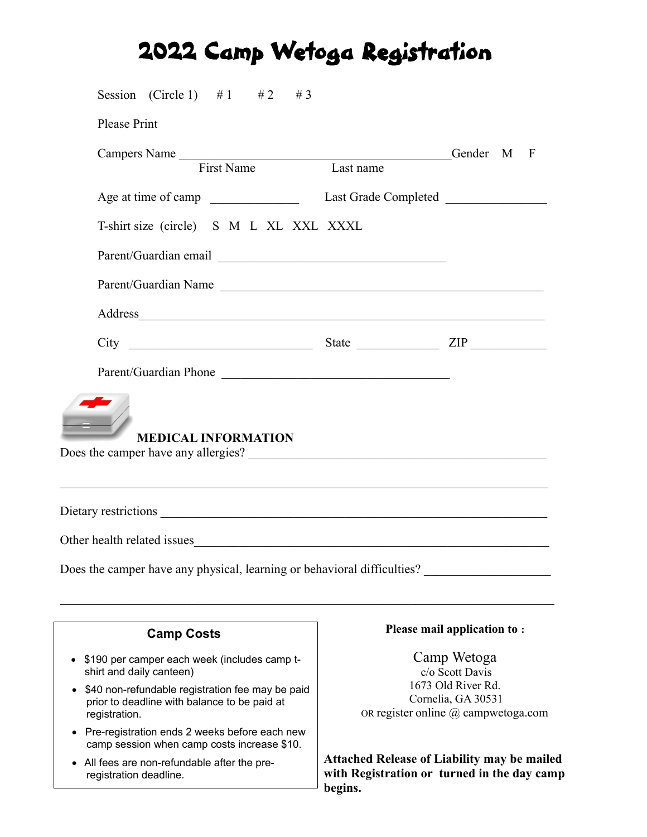# 2022 Camp Wetoga Registration

| Session (Circle 1) #1 #2 #3                                                                                       |                                                                                                                   |                                                                                                   |
|-------------------------------------------------------------------------------------------------------------------|-------------------------------------------------------------------------------------------------------------------|---------------------------------------------------------------------------------------------------|
| <b>Please Print</b>                                                                                               |                                                                                                                   |                                                                                                   |
|                                                                                                                   |                                                                                                                   | Gender M F                                                                                        |
| Campers Name<br>First Name<br>Last name                                                                           |                                                                                                                   |                                                                                                   |
| Age at time of camp                                                                                               | Last Grade Completed                                                                                              |                                                                                                   |
| T-shirt size (circle) S M L XL XXL XXXL                                                                           |                                                                                                                   |                                                                                                   |
|                                                                                                                   |                                                                                                                   |                                                                                                   |
| Parent/Guardian Name                                                                                              |                                                                                                                   |                                                                                                   |
|                                                                                                                   |                                                                                                                   |                                                                                                   |
|                                                                                                                   |                                                                                                                   |                                                                                                   |
| Parent/Guardian Phone                                                                                             |                                                                                                                   |                                                                                                   |
| <b>MEDICAL INFORMATION</b>                                                                                        |                                                                                                                   |                                                                                                   |
|                                                                                                                   |                                                                                                                   |                                                                                                   |
| Does the camper have any physical, learning or behavioral difficulties?                                           |                                                                                                                   |                                                                                                   |
| <b>Camp Costs</b>                                                                                                 |                                                                                                                   | Please mail application to:                                                                       |
| • \$190 per camper each week (includes camp t-<br>shirt and daily canteen)                                        | Camp Wetoga<br>c/o Scott Davis<br>1673 Old River Rd.<br>Cornelia, GA 30531<br>OR register online @ campwetoga.com |                                                                                                   |
| \$40 non-refundable registration fee may be paid<br>prior to deadline with balance to be paid at<br>registration. |                                                                                                                   |                                                                                                   |
| Pre-registration ends 2 weeks before each new<br>camp session when camp costs increase \$10.                      |                                                                                                                   |                                                                                                   |
| • All fees are non-refundable after the pre-<br>registration deadline.                                            |                                                                                                                   | <b>Attached Release of Liability may be mailed</b><br>with Registration or turned in the day camp |

**with Registration or turned in the day camp begins.**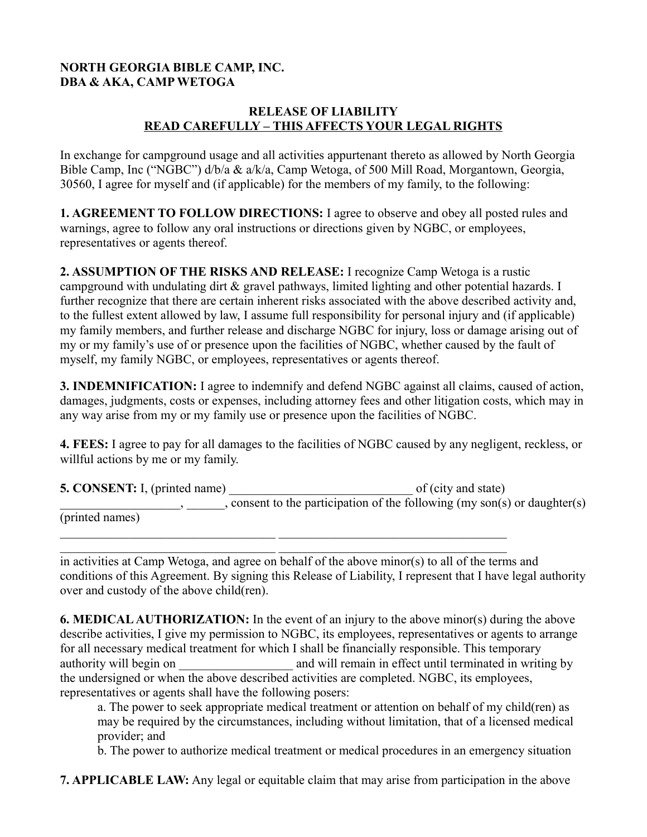## **NORTH GEORGIA BIBLE CAMP, INC. DBA & AKA, CAMP WETOGA**

### **RELEASE OF LIABILITY READ CAREFULLY – THIS AFFECTS YOUR LEGAL RIGHTS**

In exchange for campground usage and all activities appurtenant thereto as allowed by North Georgia Bible Camp, Inc ("NGBC") d/b/a & a/k/a, Camp Wetoga, of 500 Mill Road, Morgantown, Georgia, 30560, I agree for myself and (if applicable) for the members of my family, to the following:

**1. AGREEMENT TO FOLLOW DIRECTIONS:** I agree to observe and obey all posted rules and warnings, agree to follow any oral instructions or directions given by NGBC, or employees, representatives or agents thereof.

**2. ASSUMPTION OF THE RISKS AND RELEASE:** I recognize Camp Wetoga is a rustic campground with undulating dirt & gravel pathways, limited lighting and other potential hazards. I further recognize that there are certain inherent risks associated with the above described activity and, to the fullest extent allowed by law, I assume full responsibility for personal injury and (if applicable) my family members, and further release and discharge NGBC for injury, loss or damage arising out of my or my family's use of or presence upon the facilities of NGBC, whether caused by the fault of myself, my family NGBC, or employees, representatives or agents thereof.

**3. INDEMNIFICATION:** I agree to indemnify and defend NGBC against all claims, caused of action, damages, judgments, costs or expenses, including attorney fees and other litigation costs, which may in any way arise from my or my family use or presence upon the facilities of NGBC.

**4. FEES:** I agree to pay for all damages to the facilities of NGBC caused by any negligent, reckless, or willful actions by me or my family.

| <b>5. CONSENT:</b> I, (printed name) | of (city and state)                                                       |
|--------------------------------------|---------------------------------------------------------------------------|
|                                      | , consent to the participation of the following (my son(s) or daughter(s) |
| (printed names)                      |                                                                           |
|                                      |                                                                           |

in activities at Camp Wetoga, and agree on behalf of the above minor(s) to all of the terms and conditions of this Agreement. By signing this Release of Liability, I represent that I have legal authority over and custody of the above child(ren).

**6. MEDICAL AUTHORIZATION:** In the event of an injury to the above minor(s) during the above describe activities, I give my permission to NGBC, its employees, representatives or agents to arrange for all necessary medical treatment for which I shall be financially responsible. This temporary authority will begin on and will remain in effect until terminated in writing by the undersigned or when the above described activities are completed. NGBC, its employees, representatives or agents shall have the following posers:

a. The power to seek appropriate medical treatment or attention on behalf of my child(ren) as may be required by the circumstances, including without limitation, that of a licensed medical provider; and

b. The power to authorize medical treatment or medical procedures in an emergency situation

**7. APPLICABLE LAW:** Any legal or equitable claim that may arise from participation in the above